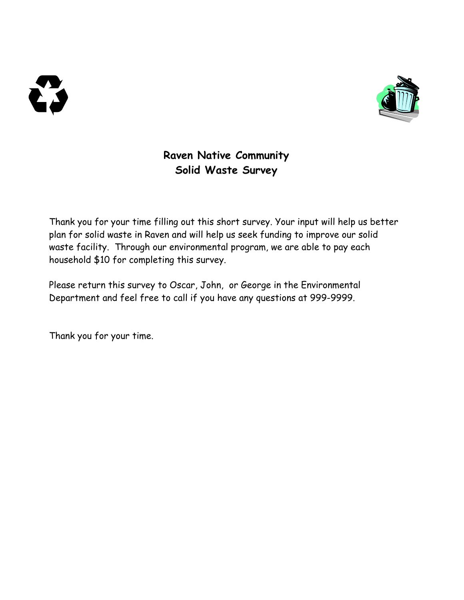



# **Raven Native Community Solid Waste Survey**

Thank you for your time filling out this short survey. Your input will help us better plan for solid waste in Raven and will help us seek funding to improve our solid waste facility. Through our environmental program, we are able to pay each household \$10 for completing this survey.

Please return this survey to Oscar, John, or George in the Environmental Department and feel free to call if you have any questions at 999-9999.

Thank you for your time.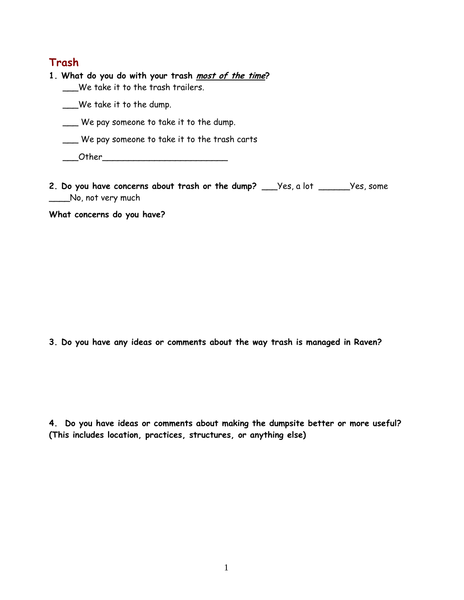### **Trash**

| 1. What do you do with your trash most of the time?<br>We take it to the trash trailers. |
|------------------------------------------------------------------------------------------|
| $\_\mathsf{W}\mathsf{e}\xspace$ take it to the dump.                                     |
| We pay someone to take it to the dump.                                                   |
| We pay someone to take it to the trash carts                                             |
| Other                                                                                    |

**2. Do you have concerns about trash or the dump?** \_\_\_Yes, a lot \_\_\_\_\_\_Yes, some \_\_\_No, not very much

**What concerns do you have?** 

**3. Do you have any ideas or comments about the way trash is managed in Raven?** 

**4. Do you have ideas or comments about making the dumpsite better or more useful? (This includes location, practices, structures, or anything else)**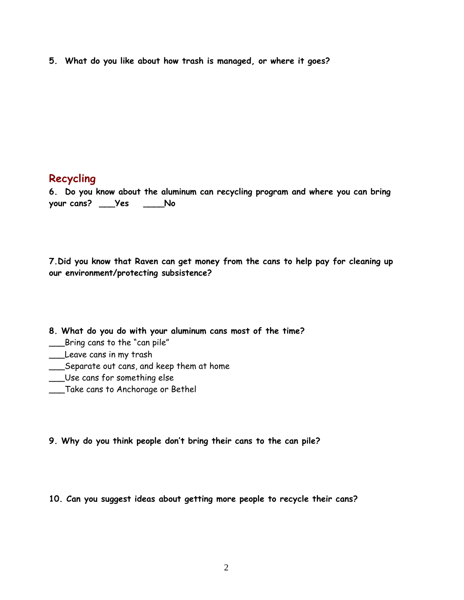**5. What do you like about how trash is managed, or where it goes?** 

## **Recycling**

**6. Do you know about the aluminum can recycling program and where you can bring your cans? \_\_\_Yes \_\_\_\_No** 

**7.Did you know that Raven can get money from the cans to help pay for cleaning up our environment/protecting subsistence?** 

**8. What do you do with your aluminum cans most of the time?** 

- \_\_\_Bring cans to the "can pile"
- \_\_\_Leave cans in my trash
- \_\_\_Separate out cans, and keep them at home
- \_\_\_Use cans for something else
- \_\_\_Take cans to Anchorage or Bethel
- **9. Why do you think people don't bring their cans to the can pile?**

**10. Can you suggest ideas about getting more people to recycle their cans?**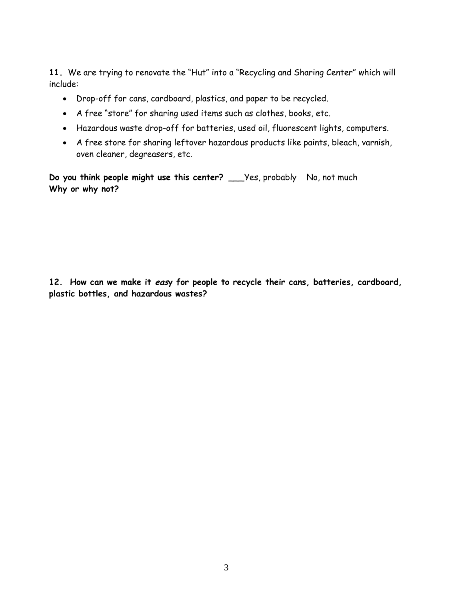**11.** We are trying to renovate the "Hut" into a "Recycling and Sharing Center" which will include:

- Drop-off for cans, cardboard, plastics, and paper to be recycled.
- A free "store" for sharing used items such as clothes, books, etc.
- Hazardous waste drop-off for batteries, used oil, fluorescent lights, computers.
- A free store for sharing leftover hazardous products like paints, bleach, varnish, oven cleaner, degreasers, etc.

**Do you think people might use this center?** \_\_\_Yes, probably No, not much **Why or why not?** 

**12. How can we make it easy for people to recycle their cans, batteries, cardboard, plastic bottles, and hazardous wastes?**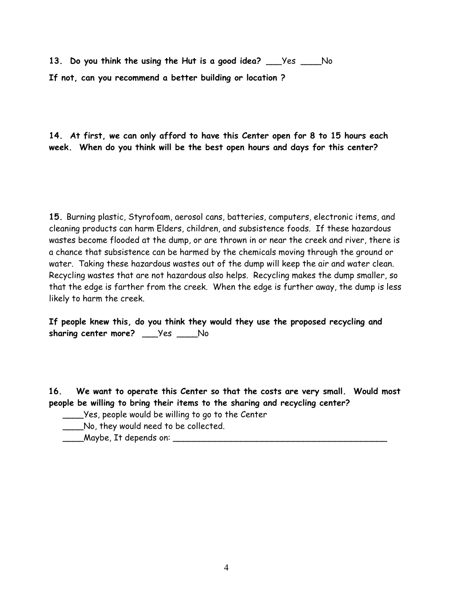**13. Do you think the using the Hut is a good idea?** \_\_\_Yes \_\_\_\_No **If not, can you recommend a better building or location ?** 

**14. At first, we can only afford to have this Center open for 8 to 15 hours each week. When do you think will be the best open hours and days for this center?** 

**15.** Burning plastic, Styrofoam, aerosol cans, batteries, computers, electronic items, and cleaning products can harm Elders, children, and subsistence foods. If these hazardous wastes become flooded at the dump, or are thrown in or near the creek and river, there is a chance that subsistence can be harmed by the chemicals moving through the ground or water. Taking these hazardous wastes out of the dump will keep the air and water clean. Recycling wastes that are not hazardous also helps. Recycling makes the dump smaller, so that the edge is farther from the creek. When the edge is further away, the dump is less likely to harm the creek.

**If people knew this, do you think they would they use the proposed recycling and sharing center more?** \_\_\_Yes \_\_\_\_No

**16. We want to operate this Center so that the costs are very small. Would most people be willing to bring their items to the sharing and recycling center?** 

- \_\_\_\_Yes, people would be willing to go to the Center
- \_\_\_\_No, they would need to be collected.
- $\blacksquare$  Maybe, It depends on:  $\blacksquare$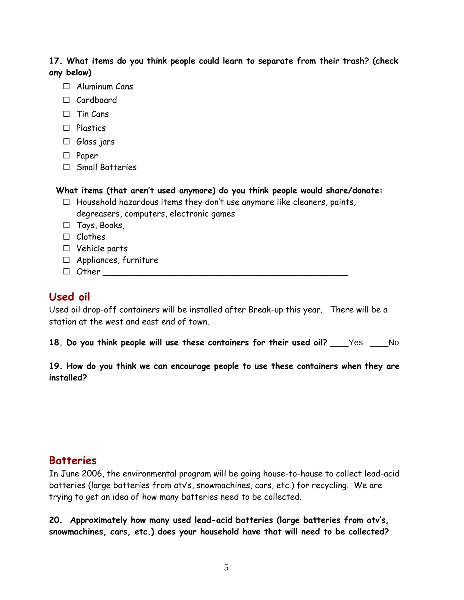**17. What items do you think people could learn to separate from their trash? (check any below)** 

- $\Box$  Aluminum Cans
- $\Box$  Cardboard
- $\Box$  Tin Cans
- $\Box$  Plastics
- $\Box$  Glass jars
- $\square$  Paper
- $\Box$  Small Batteries

#### **What items (that aren't used anymore) do you think people would share/donate:**

 $\Box$  Household hazardous items they don't use anymore like cleaners, paints, degreasers, computers, electronic games

□ Toys, Books,

- $\Box$  Clothes
- $\Box$  Vehicle parts
- $\Box$  Appliances, furniture
- $\Box$  Other  $\Box$

## **Used oil**

Used oil drop-off containers will be installed after Break-up this year. There will be a station at the west and east end of town.

**18. Do you think people will use these containers for their used oil?** \_\_\_\_Yes \_\_\_\_No

### **19. How do you think we can encourage people to use these containers when they are installed?**

## **Batteries**

In June 2006, the environmental program will be going house-to-house to collect lead-acid batteries (large batteries from atv's, snowmachines, cars, etc.) for recycling. We are trying to get an idea of how many batteries need to be collected.

**20. Approximately how many used lead-acid batteries (large batteries from atv's, snowmachines, cars, etc.) does your household have that will need to be collected?**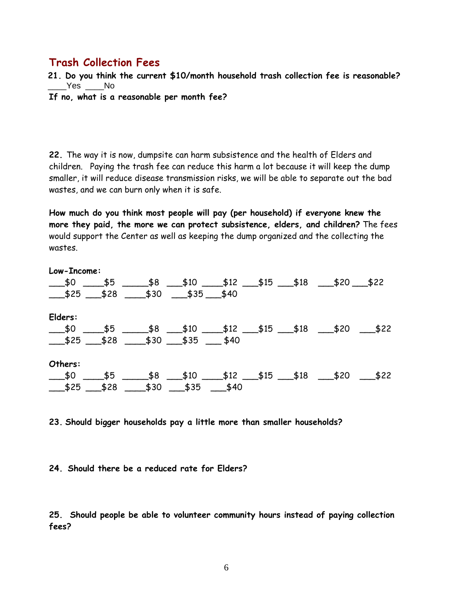## **Trash Collection Fees**

**21. Do you think the current \$10/month household trash collection fee is reasonable?**   $Yes$  \_\_\_\_No

**If no, what is a reasonable per month fee?** 

**22.** The way it is now, dumpsite can harm subsistence and the health of Elders and children. Paying the trash fee can reduce this harm a lot because it will keep the dump smaller, it will reduce disease transmission risks, we will be able to separate out the bad wastes, and we can burn only when it is safe.

**How much do you think most people will pay (per household) if everyone knew the more they paid, the more we can protect subsistence, elders, and children?** The fees would support the Center as well as keeping the dump organized and the collecting the wastes.

| Low-Income:                                                                                                                                                                                                                                                                                                                                                              |                                  |  |  |  |
|--------------------------------------------------------------------------------------------------------------------------------------------------------------------------------------------------------------------------------------------------------------------------------------------------------------------------------------------------------------------------|----------------------------------|--|--|--|
| $\frac{$10}{2}$ \$5 \$8 \$10 \$12 \$15 \$18 \$20 \$22                                                                                                                                                                                                                                                                                                                    |                                  |  |  |  |
| $\frac{\text{13.5}}{\text{13.5}}$ $\frac{\text{13.5}}{\text{13.5}}$ $\frac{\text{13.5}}{\text{13.5}}$ $\frac{\text{13.5}}{\text{13.5}}$ $\frac{\text{13.5}}{\text{13.5}}$ $\frac{\text{13.5}}{\text{13.5}}$ $\frac{\text{13.5}}{\text{13.5}}$ $\frac{\text{13.5}}{\text{13.5}}$ $\frac{\text{13.5}}{\text{13.5}}$ $\frac{\text{13.5}}{\text{13.5}}$ $\frac{\text{13.5}}$ |                                  |  |  |  |
| Elders:                                                                                                                                                                                                                                                                                                                                                                  |                                  |  |  |  |
| $\frac{\text{10}}{\text{10}}$ \$0 $\frac{\text{10}}{\text{10}}$ \$10 $\frac{\text{11}}{\text{10}}$ \$15 $\frac{\text{11}}{\text{10}}$ \$18 $\frac{\text{12}}{\text{10}}$ \$22                                                                                                                                                                                            |                                  |  |  |  |
| $$25 \t$28 \t$30 \t$35 \t$40$                                                                                                                                                                                                                                                                                                                                            |                                  |  |  |  |
| Others:                                                                                                                                                                                                                                                                                                                                                                  |                                  |  |  |  |
| $\frac{\text{10}}{\text{10}}$ \$0 $\frac{\text{10}}{\text{10}}$ \$10 $\frac{\text{11}}{\text{10}}$ \$15 $\frac{\text{11}}{\text{10}}$ \$18 $\frac{\text{13}}{\text{10}}$ \$22                                                                                                                                                                                            |                                  |  |  |  |
| $\frac{\text{18}}{\text{18}}$ \$25 $\frac{\text{18}}{\text{18}}$                                                                                                                                                                                                                                                                                                         | ________\$30 _____\$35 _____\$40 |  |  |  |

**23. Should bigger households pay a little more than smaller households?**

#### **24. Should there be a reduced rate for Elders?**

**25. Should people be able to volunteer community hours instead of paying collection fees?**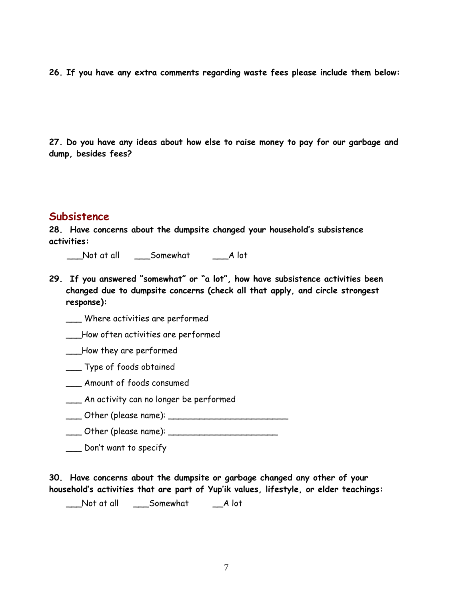**26. If you have any extra comments regarding waste fees please include them below:** 

**27. Do you have any ideas about how else to raise money to pay for our garbage and dump, besides fees?** 

#### **Subsistence**

**28. Have concerns about the dumpsite changed your household's subsistence activities:** 

\_\_\_Not at all \_\_\_Somewhat \_\_\_A lot

**29. If you answered "somewhat" or "a lot", how have subsistence activities been changed due to dumpsite concerns (check all that apply, and circle strongest response):** 

\_\_\_ Where activities are performed

\_\_\_How often activities are performed

\_\_\_How they are performed

- \_\_\_ Type of foods obtained
- \_\_\_ Amount of foods consumed
- \_\_\_ An activity can no longer be performed
- \_\_\_ Other (please name): \_\_\_\_\_\_\_\_\_\_\_\_\_\_\_\_\_\_\_\_\_\_\_
- $\Box$  Other (please name):  $\Box$
- \_\_\_ Don't want to specify

**30. Have concerns about the dumpsite or garbage changed any other of your household's activities that are part of Yup'ik values, lifestyle, or elder teachings:**

\_\_\_Not at all \_\_\_Somewhat \_\_A lot